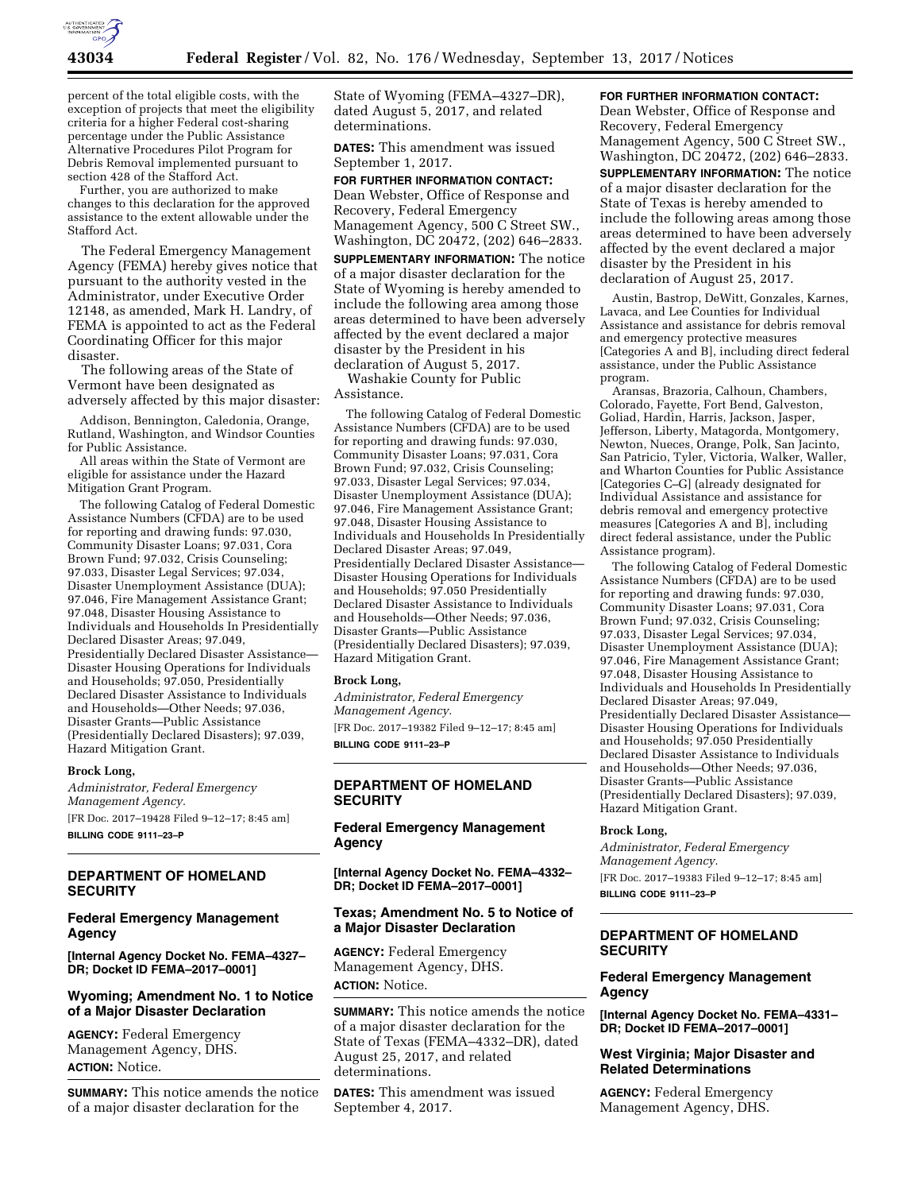

percent of the total eligible costs, with the exception of projects that meet the eligibility criteria for a higher Federal cost-sharing percentage under the Public Assistance Alternative Procedures Pilot Program for Debris Removal implemented pursuant to section 428 of the Stafford Act.

Further, you are authorized to make changes to this declaration for the approved assistance to the extent allowable under the Stafford Act.

The Federal Emergency Management Agency (FEMA) hereby gives notice that pursuant to the authority vested in the Administrator, under Executive Order 12148, as amended, Mark H. Landry, of FEMA is appointed to act as the Federal Coordinating Officer for this major disaster.

The following areas of the State of Vermont have been designated as adversely affected by this major disaster:

Addison, Bennington, Caledonia, Orange, Rutland, Washington, and Windsor Counties for Public Assistance.

All areas within the State of Vermont are eligible for assistance under the Hazard Mitigation Grant Program.

The following Catalog of Federal Domestic Assistance Numbers (CFDA) are to be used for reporting and drawing funds: 97.030, Community Disaster Loans; 97.031, Cora Brown Fund; 97.032, Crisis Counseling; 97.033, Disaster Legal Services; 97.034, Disaster Unemployment Assistance (DUA); 97.046, Fire Management Assistance Grant; 97.048, Disaster Housing Assistance to Individuals and Households In Presidentially Declared Disaster Areas; 97.049, Presidentially Declared Disaster Assistance— Disaster Housing Operations for Individuals and Households; 97.050, Presidentially Declared Disaster Assistance to Individuals and Households—Other Needs; 97.036, Disaster Grants—Public Assistance (Presidentially Declared Disasters); 97.039, Hazard Mitigation Grant.

#### **Brock Long,**

*Administrator, Federal Emergency Management Agency.*  [FR Doc. 2017–19428 Filed 9–12–17; 8:45 am]

**BILLING CODE 9111–23–P** 

# **DEPARTMENT OF HOMELAND SECURITY**

## **Federal Emergency Management Agency**

**[Internal Agency Docket No. FEMA–4327– DR; Docket ID FEMA–2017–0001]** 

## **Wyoming; Amendment No. 1 to Notice of a Major Disaster Declaration**

**AGENCY:** Federal Emergency Management Agency, DHS. **ACTION:** Notice.

**SUMMARY:** This notice amends the notice of a major disaster declaration for the

State of Wyoming (FEMA–4327–DR), dated August 5, 2017, and related determinations.

**DATES:** This amendment was issued September 1, 2017.

**FOR FURTHER INFORMATION CONTACT:**  Dean Webster, Office of Response and Recovery, Federal Emergency Management Agency, 500 C Street SW., Washington, DC 20472, (202) 646–2833.

**SUPPLEMENTARY INFORMATION:** The notice of a major disaster declaration for the State of Wyoming is hereby amended to include the following area among those areas determined to have been adversely affected by the event declared a major disaster by the President in his declaration of August 5, 2017.

Washakie County for Public Assistance.

The following Catalog of Federal Domestic Assistance Numbers (CFDA) are to be used for reporting and drawing funds: 97.030, Community Disaster Loans; 97.031, Cora Brown Fund; 97.032, Crisis Counseling; 97.033, Disaster Legal Services; 97.034, Disaster Unemployment Assistance (DUA); 97.046, Fire Management Assistance Grant; 97.048, Disaster Housing Assistance to Individuals and Households In Presidentially Declared Disaster Areas; 97.049, Presidentially Declared Disaster Assistance— Disaster Housing Operations for Individuals and Households; 97.050 Presidentially Declared Disaster Assistance to Individuals and Households—Other Needs; 97.036, Disaster Grants—Public Assistance (Presidentially Declared Disasters); 97.039, Hazard Mitigation Grant.

#### **Brock Long,**

*Administrator, Federal Emergency Management Agency.*  [FR Doc. 2017–19382 Filed 9–12–17; 8:45 am] **BILLING CODE 9111–23–P** 

# **DEPARTMENT OF HOMELAND SECURITY**

**Federal Emergency Management Agency** 

**[Internal Agency Docket No. FEMA–4332– DR; Docket ID FEMA–2017–0001]** 

## **Texas; Amendment No. 5 to Notice of a Major Disaster Declaration**

**AGENCY:** Federal Emergency Management Agency, DHS. **ACTION:** Notice.

**SUMMARY:** This notice amends the notice of a major disaster declaration for the State of Texas (FEMA–4332–DR), dated August 25, 2017, and related determinations.

**DATES:** This amendment was issued September 4, 2017.

# **FOR FURTHER INFORMATION CONTACT:**

Dean Webster, Office of Response and Recovery, Federal Emergency Management Agency, 500 C Street SW., Washington, DC 20472, (202) 646–2833. **SUPPLEMENTARY INFORMATION:** The notice of a major disaster declaration for the State of Texas is hereby amended to include the following areas among those areas determined to have been adversely affected by the event declared a major disaster by the President in his declaration of August 25, 2017.

Austin, Bastrop, DeWitt, Gonzales, Karnes, Lavaca, and Lee Counties for Individual Assistance and assistance for debris removal and emergency protective measures [Categories A and B], including direct federal assistance, under the Public Assistance program.

Aransas, Brazoria, Calhoun, Chambers, Colorado, Fayette, Fort Bend, Galveston, Goliad, Hardin, Harris, Jackson, Jasper, Jefferson, Liberty, Matagorda, Montgomery, Newton, Nueces, Orange, Polk, San Jacinto, San Patricio, Tyler, Victoria, Walker, Waller, and Wharton Counties for Public Assistance [Categories C–G] (already designated for Individual Assistance and assistance for debris removal and emergency protective measures [Categories A and B], including direct federal assistance, under the Public Assistance program).

The following Catalog of Federal Domestic Assistance Numbers (CFDA) are to be used for reporting and drawing funds: 97.030, Community Disaster Loans; 97.031, Cora Brown Fund; 97.032, Crisis Counseling; 97.033, Disaster Legal Services; 97.034, Disaster Unemployment Assistance (DUA); 97.046, Fire Management Assistance Grant; 97.048, Disaster Housing Assistance to Individuals and Households In Presidentially Declared Disaster Areas; 97.049, Presidentially Declared Disaster Assistance— Disaster Housing Operations for Individuals and Households; 97.050 Presidentially Declared Disaster Assistance to Individuals and Households—Other Needs; 97.036, Disaster Grants—Public Assistance (Presidentially Declared Disasters); 97.039, Hazard Mitigation Grant.

### **Brock Long,**

*Administrator, Federal Emergency Management Agency.* 

[FR Doc. 2017–19383 Filed 9–12–17; 8:45 am] **BILLING CODE 9111–23–P** 

# **DEPARTMENT OF HOMELAND SECURITY**

# **Federal Emergency Management Agency**

**[Internal Agency Docket No. FEMA–4331– DR; Docket ID FEMA–2017–0001]** 

# **West Virginia; Major Disaster and Related Determinations**

**AGENCY:** Federal Emergency Management Agency, DHS.